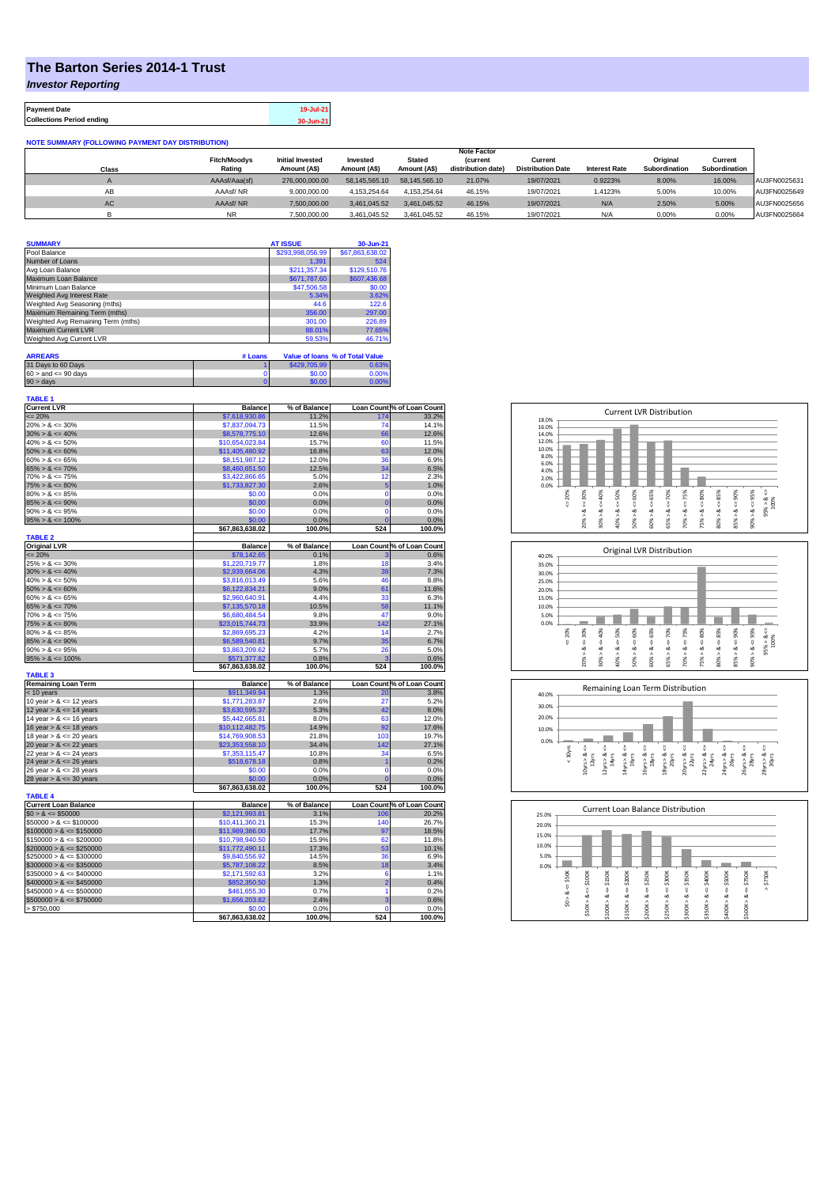## **The Barton Series 2014-1 Trust**

*Investor Reporting*

| <b>Payment Date</b>              | 19-Jul-21 |
|----------------------------------|-----------|
| <b>Collections Period ending</b> | 30-Jun-21 |

**NOTE SUMMARY (FOLLOWING PAYMENT DAY DISTRIBUTION)**

|           |                     |                         |               |               | <b>Note Factor</b> |                          |                      |               |               |              |
|-----------|---------------------|-------------------------|---------------|---------------|--------------------|--------------------------|----------------------|---------------|---------------|--------------|
|           | <b>Fitch/Moodys</b> | <b>Initial Invested</b> | Invested      | <b>Stated</b> | <i>(current</i>    | Current                  |                      | Original      | Current       |              |
| Class     | Rating              | Amount (A\$)            | Amount (A\$)  | Amount (A\$)  | distribution date) | <b>Distribution Date</b> | <b>Interest Rate</b> | Subordination | Subordination |              |
|           | AAAsf/Aaa(sf)       | 276,000,000,00          | 58.145.565.10 | 58.145.565.10 | 21.07%             | 19/07/2021               | 0.9223%              | 8.00%         | 16.00%        | AU3FN0025631 |
| AB        | AAAsf/NR            | 9.000.000.00            | 4.153.254.64  | 4.153.254.64  | 46.15%             | 19/07/2021               | 1.4123%              | 5.00%         | 10.00%        | AU3FN0025649 |
| <b>AC</b> | AAAsf/NR            | 7,500,000.00            | 3.461.045.52  | 3.461.045.52  | 46.15%             | 19/07/2021               | N/A                  | 2.50%         | 5.00%         | AU3FN0025656 |
|           | <b>NR</b>           | 7.500.000.00            | 3.461.045.52  | 3.461.045.52  | 46.15%             | 19/07/2021               | N/A                  | 0.00%         | 0.00%         | AU3FN0025664 |

| <b>SUMMARY</b>                     | <b>AT ISSUE</b>  | 30-Jun-21       |
|------------------------------------|------------------|-----------------|
| Pool Balance                       | \$293,998,056.99 | \$67,863,638.02 |
| Number of Loans                    | 1.391            | 524             |
| Avg Loan Balance                   | \$211,357.34     | \$129,510.76    |
| Maximum Loan Balance               | \$671,787.60     | \$607,436.68    |
| Minimum Loan Balance               | \$47,506.58      | \$0.00          |
| Weighted Avg Interest Rate         | 5.34%            | 3.62%           |
| Weighted Avg Seasoning (mths)      | 44.6             | 122.6           |
| Maximum Remaining Term (mths)      | 356.00           | 297.00          |
| Weighted Avg Remaining Term (mths) | 301.00           | 226.89          |
| Maximum Current LVR                | 88.01%           | 77.65%          |
| Weighted Avg Current LVR           | 59.53%           | 46.71%          |

| <b>ARREARS</b>            | # Loans |              | Value of Ioans % of Total Value |
|---------------------------|---------|--------------|---------------------------------|
| 31 Days to 60 Days        |         | \$429,705.99 | 0.63%                           |
| $60 >$ and $\leq 90$ days |         | \$0.00       | 0.00%                           |
| $90 >$ days               |         | \$0.00       | 0.00%                           |

| <b>TABLE 1</b>              |                 |              |                |                            |
|-----------------------------|-----------------|--------------|----------------|----------------------------|
| <b>Current LVR</b>          | <b>Balance</b>  | % of Balance |                | Loan Count % of Loan Count |
| $= 20%$                     | \$7,618,930.86  | 11.2%        | 174            | 33.2%                      |
| $20\% > 8 \le 30\%$         | \$7,837,094.73  | 11.5%        | 74             | 14.1%                      |
| $30\% > 8 \le 40\%$         | \$8,578,775.10  | 12.6%        | 66             | 12.6%                      |
| $40\% > 8 \le 50\%$         | \$10,654,023.84 | 15.7%        | 60             | 11.5%                      |
| $50\% > 8 \le 60\%$         | \$11,405,480.92 | 16.8%        | 63             | 12.0%                      |
| $60\% > 8 \le 65\%$         | \$8,151,987.12  | 12.0%        | 36             | 6.9%                       |
| $65\% > 8 \le 70\%$         | \$8,460,651.50  | 12.5%        | 34             | 6.5%                       |
| $70\% > 8 \le 75\%$         | \$3.422,866.65  | 5.0%         | 12             | 2.3%                       |
| $75\% > 8 \le 80\%$         | \$1,733,827.30  | 2.6%         | 5              | 1.0%                       |
| $80\% > 8 \le 85\%$         | \$0.00          | 0.0%         | $\mathbf 0$    | 0.0%                       |
| $85\% > 8 \le 90\%$         | \$0.00          | 0.0%         | $\bf{0}$       | 0.0%                       |
| $90\% > 8 \le 95\%$         | \$0.00          | 0.0%         | 0              | 0.0%                       |
| $95\% > 8 \le 100\%$        | \$0.00          | 0.0%         | $\overline{0}$ | 0.0%                       |
|                             | \$67,863,638.02 | 100.0%       | 524            | 100.0%                     |
| <b>TABLE 2</b>              |                 |              |                |                            |
| <b>Original LVR</b>         | <b>Balance</b>  | % of Balance |                | Loan Count % of Loan Count |
| $= 20%$                     | \$78,142.65     | 0.1%         | 3              | 0.6%                       |
| $25\% > 8 \le 30\%$         | \$1,220,719.77  | 1.8%         | 18             | 3.4%                       |
| $30\% > 8 \le 40\%$         | \$2,939,664.06  | 4.3%         | 38             | 7.3%                       |
| $40\% > 8 \le 50\%$         | \$3,816,013.49  | 5.6%         | 46             | 8.8%                       |
| $50\% > 8 \le 60\%$         | \$6,122,834.21  | 9.0%         | 61             | 11.6%                      |
| $60\% > 8 \le 65\%$         | \$2,960,640.91  | 4.4%         | 33             | 6.3%                       |
| $65\% > 8 \le 70\%$         | \$7,135,570.18  | 10.5%        | 58             | 11.1%                      |
| $70\% > 8 \le 75\%$         | \$6,680,484.54  | 9.8%         | 47             | 9.0%                       |
| $75\% > 8 \le 80\%$         | \$23,015,744.73 | 33.9%        | 142            | 27.1%                      |
| $80\% > 8 \le 85\%$         | \$2,869,695.23  | 4.2%         | 14             | 2.7%                       |
| $85\% > 8 \le 90\%$         | \$6,589,540.81  | 9.7%         | 35             | 6.7%                       |
| $90\% > 8 \le 95\%$         | \$3,863,209.62  | 5.7%         | 26             | 5.0%                       |
| $95\% > 8 \le 100\%$        | \$571,377.82    | 0.8%         | 3              | 0.6%                       |
|                             | \$67,863,638.02 | 100.0%       | 524            | 100.0%                     |
| <b>TABLE 3</b>              |                 |              |                |                            |
| <b>Remaining Loan Term</b>  | <b>Balance</b>  | % of Balance |                | Loan Count % of Loan Count |
| < 10 years                  | \$911,349.94    | 1.3%         | 20             | 3.8%                       |
| 10 year $> 8 \le 12$ years  | \$1,771,283.87  | 2.6%         | 27             | 5.2%                       |
| 12 year $> 8 \le 14$ years  | \$3,630,595.37  | 5.3%         | 42             | 8.0%                       |
| 14 year $> 8 \le 16$ years  | \$5,442,665.81  | 8.0%         | 63             | 12.0%                      |
| 16 year $> 8 \le 18$ years  | \$10,112,482.75 | 14.9%        | 92             | 17.6%                      |
| 18 year $> 8 \le 20$ years  | \$14,769,908.53 | 21.8%        | 103            | 19.7%                      |
| 20 year $> 8 \le 22$ years  | \$23,353,558.10 | 34.4%        | 142            | 27.1%                      |
| 22 year $> 8 \le 24$ years  | \$7,353,115.47  | 10.8%        | 34             | 6.5%                       |
| 24 year $> 8 \le 26$ years  | \$518,678.18    | 0.8%         | 1              | 0.2%                       |
| 26 year $> 8 \le 28$ years  | \$0.00          | 0.0%         | 0              | 0.0%                       |
| 28 year $> 8 \le 30$ years  | \$0.00          | 0.0%         | Ō              | 0.0%                       |
|                             | \$67,863,638.02 | 100.0%       | 524            | 100.0%                     |
| <b>TABLE 4</b>              |                 |              |                |                            |
| <b>Current Loan Balance</b> | <b>Balance</b>  | % of Balance |                | Loan Count % of Loan Count |
| $$0 > 8 \le $50000$         | \$2,121,993.81  | 3.1%         | 106            | 20.2%                      |
| $$50000 > 8 \le $100000$    | \$10,411,360.21 | 15.3%        | 140            | 26.7%                      |
| $$100000 > 8 \le $150000$   | \$11,989,386.00 | 17.7%        | 97             | 18.5%                      |
| $$150000 > 8 \leq $200000$  | \$10.798.940.50 | 15.9%        | 62             | 11.8%                      |
| $$200000 > 8 \leq $250000$  | \$11,772,490.11 | 17.3%        | 53             | 10.1%                      |
| $$250000 > 8 \leq $300000$  | \$9,840,556.92  | 14.5%        | 36             | 6.9%                       |
| $$300000 > 8 \leq $350000$  | \$5,787,108.22  | 8.5%         | 18             | 3.4%                       |
| $$350000 > 8 \le $400000$   | \$2,171,592.63  | 3.2%         | 6              | 1.1%                       |
| $$400000 > 8 \le $450000$   | \$852,350.50    | 1.3%         | $\overline{2}$ | 0.4%                       |
| $$450000 > 8 \le $500000$   | \$461,655.30    | 0.7%         | 1              | 0.2%                       |
| $$500000 > 8 \le $750000$   | \$1,656,203.82  | 2.4%         | ä              | 0.6%                       |
| \$750,000                   | \$0.00          | 0.0%         | 0              | 0.0%                       |
|                             | \$67,863,638.02 | 100.0%       | 524            | 100.0%                     |







| 25.0% |         |        |        |         | <b>Current Loan Balance Distribution</b> |        |        |        |        |        |        |  |
|-------|---------|--------|--------|---------|------------------------------------------|--------|--------|--------|--------|--------|--------|--|
| 20.0% |         |        |        |         |                                          |        |        |        |        |        |        |  |
| 15.0% |         |        |        |         |                                          |        |        |        |        |        |        |  |
| 10.0% |         |        |        |         |                                          |        |        |        |        |        |        |  |
| 5.0%  |         |        |        |         |                                          |        |        |        |        |        |        |  |
| 0.0%  |         |        |        |         |                                          |        |        |        |        |        |        |  |
|       | \$50K   | \$100K | \$150K | \$200K  | \$250K                                   | \$300K | \$350K | \$400K | \$500K | \$750K | \$750K |  |
|       | U       |        |        |         |                                          |        |        |        |        |        | Λ      |  |
|       | ∞       | 8 <    | V<br>œ | ₩<br>∞  | ₩<br>œ                                   | ₩<br>∞ | ₩<br>œ | ű<br>ಯ | ₩<br>œ | V<br>œ |        |  |
|       | ٨<br>S. |        | Λ      |         | л                                        | ٨      | ۸      | Λ      | Λ      | ٨      |        |  |
|       |         | \$50K> | \$100K | \$150K> | \$200K                                   | \$250K | \$300K | \$350K | \$400K | \$500K |        |  |
|       |         |        |        |         |                                          |        |        |        |        |        |        |  |